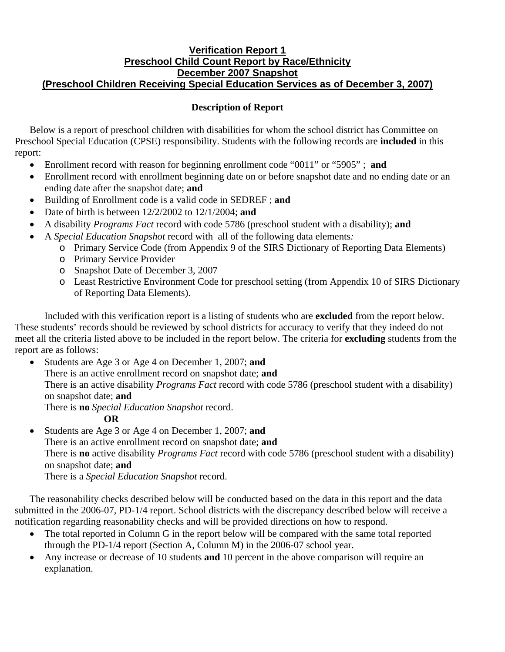## **Verification Report 1 Preschool Child Count Report by Race/Ethnicity December 2007 Snapshot (Preschool Children Receiving Special Education Services as of December 3, 2007)**

## **Description of Report**

Below is a report of preschool children with disabilities for whom the school district has Committee on Preschool Special Education (CPSE) responsibility. Students with the following records are **included** in this report:

- Enrollment record with reason for beginning enrollment code "0011" or "5905" ; **and**
- Enrollment record with enrollment beginning date on or before snapshot date and no ending date or an ending date after the snapshot date; **and**
- Building of Enrollment code is a valid code in SEDREF ; **and**
- Date of birth is between 12/2/2002 to 12/1/2004; **and**
- A disability *Programs Fact* record with code 5786 (preschool student with a disability); **and**
- A *Special Education Snapshot* record with all of the following data elements*:*
	- o Primary Service Code (from Appendix 9 of the SIRS Dictionary of Reporting Data Elements)
	- o Primary Service Provider
	- o Snapshot Date of December 3, 2007
	- o Least Restrictive Environment Code for preschool setting (from Appendix 10 of SIRS Dictionary of Reporting Data Elements).

Included with this verification report is a listing of students who are **excluded** from the report below. These students' records should be reviewed by school districts for accuracy to verify that they indeed do not meet all the criteria listed above to be included in the report below. The criteria for **excluding** students from the report are as follows:

• Students are Age 3 or Age 4 on December 1, 2007; **and** There is an active enrollment record on snapshot date; **and** There is an active disability *Programs Fact* record with code 5786 (preschool student with a disability) on snapshot date; **and** There is **no** *Special Education Snapshot* record.

## **OR**

• Students are Age 3 or Age 4 on December 1, 2007; **and**  There is an active enrollment record on snapshot date; **and**  There is **no** active disability *Programs Fact* record with code 5786 (preschool student with a disability) on snapshot date; **and** There is a *Special Education Snapshot* record.

The reasonability checks described below will be conducted based on the data in this report and the data submitted in the 2006-07, PD-1/4 report. School districts with the discrepancy described below will receive a notification regarding reasonability checks and will be provided directions on how to respond.

- The total reported in Column G in the report below will be compared with the same total reported through the PD-1/4 report (Section A, Column M) in the 2006-07 school year.
- Any increase or decrease of 10 students **and** 10 percent in the above comparison will require an explanation.